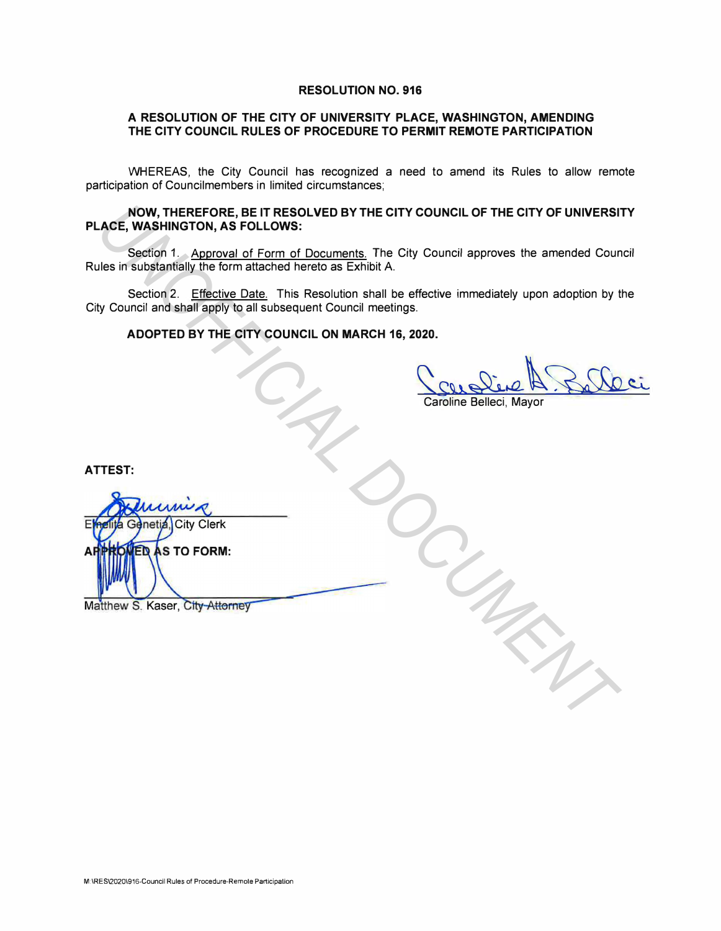#### **RESOLUTION NO. 916**

### **A RESOLUTION OF THE CITY OF UNIVERSITY PLACE, WASHINGTON, AMENDING THE CITY COUNCIL RULES OF PROCEDURE TO PERMIT REMOTE PARTICIPATION**

WHEREAS, the City Council has recognized a need to amend its Rules to allow remote participation of Councilmembers in limited circumstances;

### **NOW, THEREFORE, BE IT RESOLVED BY THE CITY COUNCIL OF THE CITY OF UNIVERSITY PLACE, WASHINGTON, AS FOLLOWS:**

Section 1. Approval of Form of Documents. The City Council approves the amended Council Rules in substantially the form attached hereto as Exhibit A.

Section 2. Effective Date. This Resolution shall be effective immediately upon adoption by the City Council and shall apply to all subsequent Council meetings.

### **ADOPTED BY THE CITY COUNCIL ON MARCH 16, 2020.**

Caroline Belleci, Mayor

**ATTEST:** 

**NOW, THEREFORE, BET RESOLVED BY THE CITY COUNCIL OF THE CITY OF UNIVERSITY SECULAR SECULAR SECULAR SECULAR DESCRIPTION**<br>
Section 1. Approved of Form of Documents, The City Council approves the amended Council<br>
Use in subs  $\Delta I$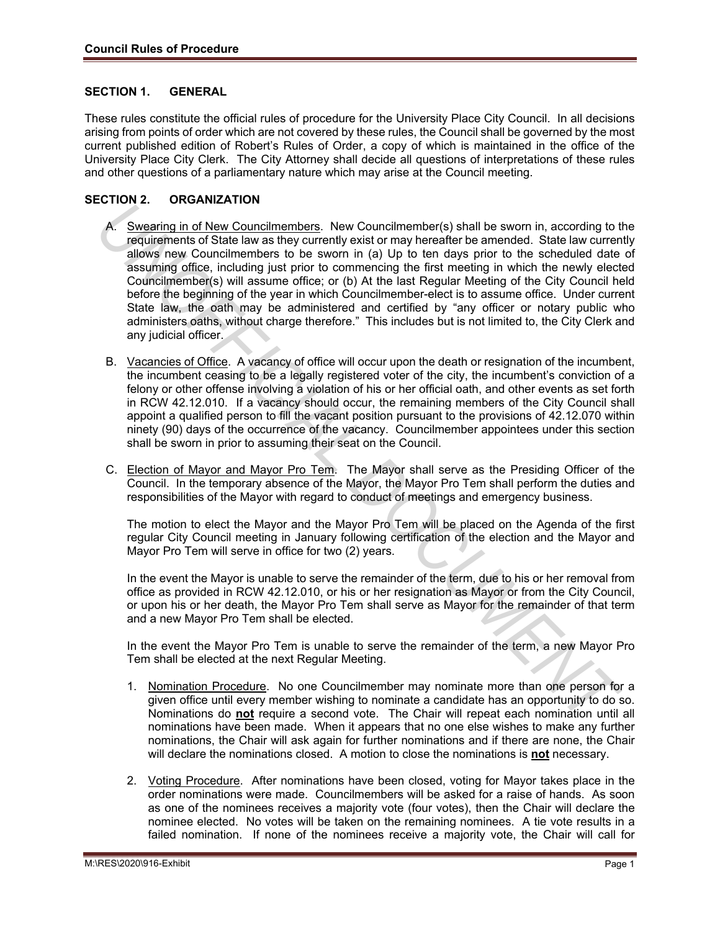### **SECTION 1. GENERAL**

These rules constitute the official rules of procedure for the University Place City Council. In all decisions arising from points of order which are not covered by these rules, the Council shall be governed by the most current published edition of Robert's Rules of Order, a copy of which is maintained in the office of the University Place City Clerk. The City Attorney shall decide all questions of interpretations of these rules and other questions of a parliamentary nature which may arise at the Council meeting.

#### **SECTION 2. ORGANIZATION**

- A. Swearing in of New Councilmembers. New Councilmember(s) shall be sworn in, according to the requirements of State law as they currently exist or may hereafter be amended. State law currently allows new Councilmembers to be sworn in (a) Up to ten days prior to the scheduled date of assuming office, including just prior to commencing the first meeting in which the newly elected Councilmember(s) will assume office; or (b) At the last Regular Meeting of the City Council held before the beginning of the year in which Councilmember-elect is to assume office. Under current State law, the oath may be administered and certified by "any officer or notary public who administers oaths, without charge therefore." This includes but is not limited to, the City Clerk and any judicial officer. **Assuming in of New Councillerenthese**. New Councillerenthef is shall be severn in, according to require the total be the method. Substitute the stress in the present of the term of the stress in the present of the term of
	- B. Vacancies of Office. A vacancy of office will occur upon the death or resignation of the incumbent, the incumbent ceasing to be a legally registered voter of the city, the incumbent's conviction of a felony or other offense involving a violation of his or her official oath, and other events as set forth in RCW 42.12.010. If a vacancy should occur, the remaining members of the City Council shall appoint a qualified person to fill the vacant position pursuant to the provisions of 42.12.070 within ninety (90) days of the occurrence of the vacancy. Councilmember appointees under this section shall be sworn in prior to assuming their seat on the Council.
	- C. Election of Mayor and Mayor Pro Tem. The Mayor shall serve as the Presiding Officer of the Council. In the temporary absence of the Mayor, the Mayor Pro Tem shall perform the duties and responsibilities of the Mayor with regard to conduct of meetings and emergency business.

The motion to elect the Mayor and the Mayor Pro Tem will be placed on the Agenda of the first regular City Council meeting in January following certification of the election and the Mayor and Mayor Pro Tem will serve in office for two (2) years.

In the event the Mayor is unable to serve the remainder of the term, due to his or her removal from office as provided in RCW 42.12.010, or his or her resignation as Mayor or from the City Council, or upon his or her death, the Mayor Pro Tem shall serve as Mayor for the remainder of that term and a new Mayor Pro Tem shall be elected.

In the event the Mayor Pro Tem is unable to serve the remainder of the term, a new Mayor Pro Tem shall be elected at the next Regular Meeting.

- 1. Nomination Procedure. No one Councilmember may nominate more than one person for a given office until every member wishing to nominate a candidate has an opportunity to do so. Nominations do **not** require a second vote. The Chair will repeat each nomination until all nominations have been made. When it appears that no one else wishes to make any further nominations, the Chair will ask again for further nominations and if there are none, the Chair will declare the nominations closed. A motion to close the nominations is **not** necessary.
- 2. Voting Procedure. After nominations have been closed, voting for Mayor takes place in the order nominations were made. Councilmembers will be asked for a raise of hands. As soon as one of the nominees receives a majority vote (four votes), then the Chair will declare the nominee elected. No votes will be taken on the remaining nominees. A tie vote results in a failed nomination. If none of the nominees receive a majority vote, the Chair will call for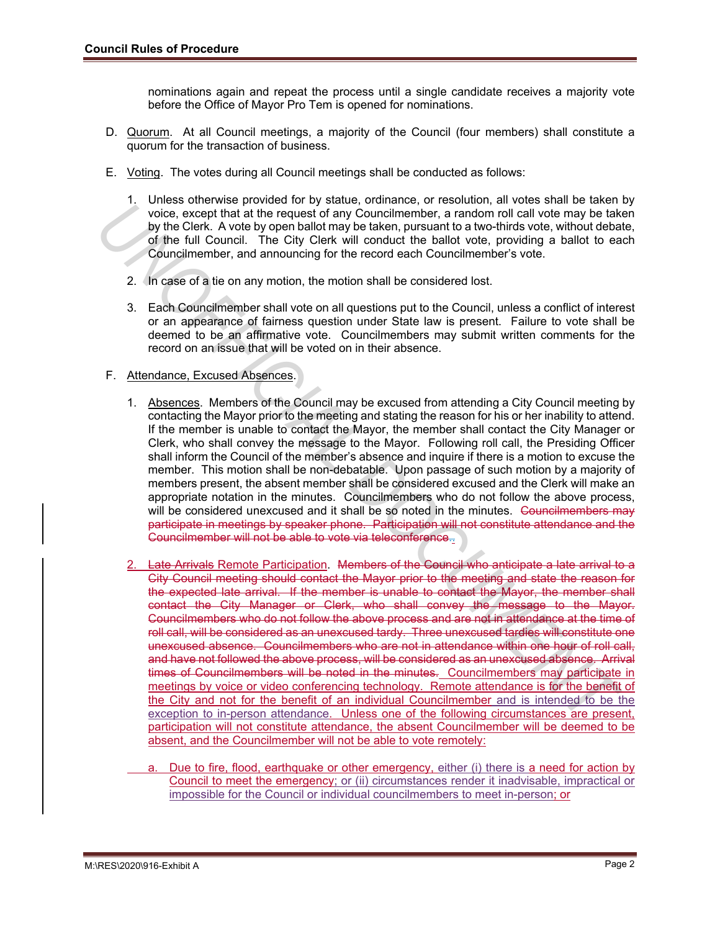nominations again and repeat the process until a single candidate receives a majority vote before the Office of Mayor Pro Tem is opened for nominations.

- D. Quorum. At all Council meetings, a majority of the Council (four members) shall constitute a quorum for the transaction of business.
- E. Voting. The votes during all Council meetings shall be conducted as follows:
	- 1. Unless otherwise provided for by statue, ordinance, or resolution, all votes shall be taken by voice, except that at the request of any Councilmember, a random roll call vote may be taken by the Clerk. A vote by open ballot may be taken, pursuant to a two-thirds vote, without debate, of the full Council. The City Clerk will conduct the ballot vote, providing a ballot to each Councilmember, and announcing for the record each Councilmember's vote.
	- 2. In case of a tie on any motion, the motion shall be considered lost.
	- 3. Each Councilmember shall vote on all questions put to the Council, unless a conflict of interest or an appearance of fairness question under State law is present. Failure to vote shall be deemed to be an affirmative vote. Councilmembers may submit written comments for the record on an issue that will be voted on in their absence.

### F. Attendance, Excused Absences.

- 1. Absences. Members of the Council may be excused from attending a City Council meeting by contacting the Mayor prior to the meeting and stating the reason for his or her inability to attend. If the member is unable to contact the Mayor, the member shall contact the City Manager or Clerk, who shall convey the message to the Mayor. Following roll call, the Presiding Officer shall inform the Council of the member's absence and inquire if there is a motion to excuse the member. This motion shall be non-debatable. Upon passage of such motion by a majority of members present, the absent member shall be considered excused and the Clerk will make an appropriate notation in the minutes. Councilmembers who do not follow the above process, will be considered unexcused and it shall be so noted in the minutes. Councilmembers may participate in meetings by speaker phone. Participation will not constitute attendance and the Councilmember will not be able to vote via teleconference..
- 2. Late Arrivals Remote Participation. Members of the Council who anticipate a late arrival to a City Council meeting should contact the Mayor prior to the meeting and state the reason for the expected late arrival. If the member is unable to contact the Mayor, the member shall contact the City Manager or Clerk, who shall convey the message to the Mayor. Councilmembers who do not follow the above process and are not in attendance at the time of roll call, will be considered as an unexcused tardy. Three unexcused tardies will constitute one unexcused absence. Councilmembers who are not in attendance within one hour of roll call, and have not followed the above process, will be considered as an unexcused absence. Arrival times of Councilmembers will be noted in the minutes. Councilmembers may participate in meetings by voice or video conferencing technology. Remote attendance is for the benefit of the City and not for the benefit of an individual Councilmember and is intended to be the exception to in-person attendance. Unless one of the following circumstances are present, participation will not constitute attendance, the absent Councilmember will be deemed to be absent, and the Councilmember will not be able to vote remotely: *V* of the Cent. A vote the Merind of Merina Council ment be a standard with the cent of the Merina Detect of the Cent of the Cent of the Cent of the Cent of the Cent of the Cent of the Cent of the Cent of the Cent of the
	- a. Due to fire, flood, earthquake or other emergency, either (i) there is a need for action by Council to meet the emergency; or (ii) circumstances render it inadvisable, impractical or impossible for the Council or individual councilmembers to meet in-person; or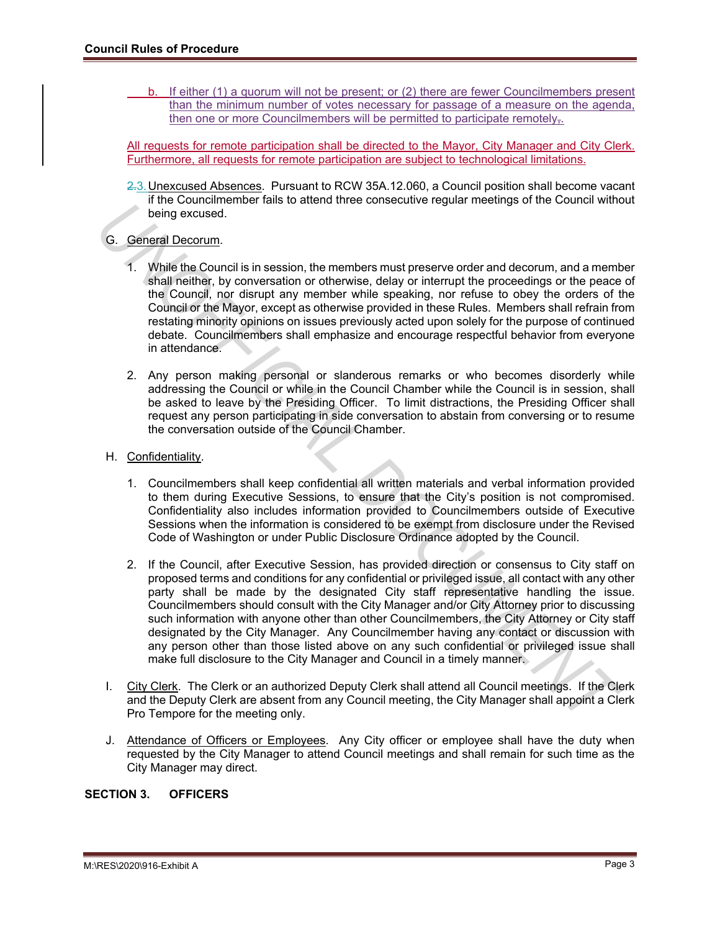b. If either (1) a quorum will not be present; or (2) there are fewer Councilmembers present than the minimum number of votes necessary for passage of a measure on the agenda, then one or more Councilmembers will be permitted to participate remotely.

All requests for remote participation shall be directed to the Mayor, City Manager and City Clerk. Furthermore, all requests for remote participation are subject to technological limitations.

2.3. Unexcused Absences. Pursuant to RCW 35A.12.060, a Council position shall become vacant if the Councilmember fails to attend three consecutive regular meetings of the Council without being excused.

# G. General Decorum.

- 1. While the Council is in session, the members must preserve order and decorum, and a member shall neither, by conversation or otherwise, delay or interrupt the proceedings or the peace of the Council, nor disrupt any member while speaking, nor refuse to obey the orders of the Council or the Mayor, except as otherwise provided in these Rules. Members shall refrain from restating minority opinions on issues previously acted upon solely for the purpose of continued debate. Councilmembers shall emphasize and encourage respectful behavior from everyone in attendance.
- 2. Any person making personal or slanderous remarks or who becomes disorderly while addressing the Council or while in the Council Chamber while the Council is in session, shall be asked to leave by the Presiding Officer. To limit distractions, the Presiding Officer shall request any person participating in side conversation to abstain from conversing or to resume the conversation outside of the Council Chamber.

### H. Confidentiality.

- 1. Councilmembers shall keep confidential all written materials and verbal information provided to them during Executive Sessions, to ensure that the City's position is not compromised. Confidentiality also includes information provided to Councilmembers outside of Executive Sessions when the information is considered to be exempt from disclosure under the Revised Code of Washington or under Public Disclosure Ordinance adopted by the Council.
- 2. If the Council, after Executive Session, has provided direction or consensus to City staff on proposed terms and conditions for any confidential or privileged issue, all contact with any other party shall be made by the designated City staff representative handling the issue. Councilmembers should consult with the City Manager and/or City Attorney prior to discussing such information with anyone other than other Councilmembers, the City Attorney or City staff designated by the City Manager. Any Councilmember having any contact or discussion with any person other than those listed above on any such confidential or privileged issue shall make full disclosure to the City Manager and Council in a timely manner. The Council interactions in a causar uniteresting in the council window the the station of the matter of the council in interaction of the members must preserve order and decorum, and a member shall neither, by conversatio
	- I. City Clerk. The Clerk or an authorized Deputy Clerk shall attend all Council meetings. If the Clerk and the Deputy Clerk are absent from any Council meeting, the City Manager shall appoint a Clerk Pro Tempore for the meeting only.
	- J. Attendance of Officers or Employees. Any City officer or employee shall have the duty when requested by the City Manager to attend Council meetings and shall remain for such time as the City Manager may direct.

# **SECTION 3. OFFICERS**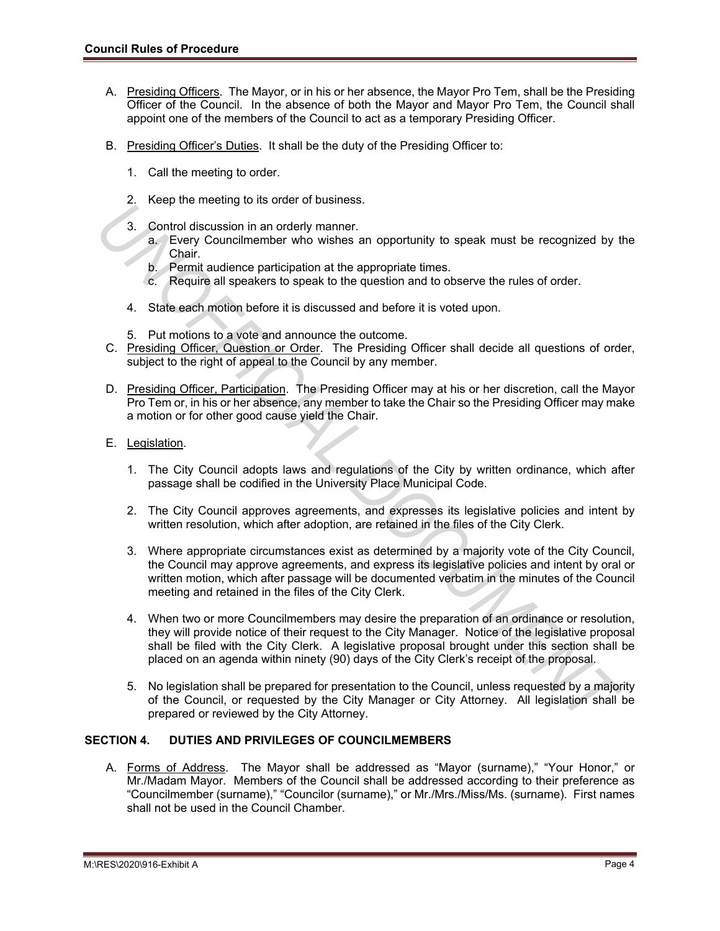- A. Presiding Officers. The Mayor, or in his or her absence, the Mayor Pro Tem, shall be the Presiding Officer of the Council. In the absence of both the Mayor and Mayor Pro Tem, the Council shall appoint one of the members of the Council to act as a temporary Presiding Officer.
- B. Presiding Officer's Duties. It shall be the duty of the Presiding Officer to:
	- 1. Call the meeting to order.
	- 2. Keep the meeting to its order of business.
	- 3. Control discussion in an orderly manner.
		- a. Every Councilmember who wishes an opportunity to speak must be recognized by the Chair.
		- b. Permit audience participation at the appropriate times.
		- c. Require all speakers to speak to the question and to observe the rules of order.
	- 4. State each motion before it is discussed and before it is voted upon.
	- 5. Put motions to a vote and announce the outcome.
- C. Presiding Officer, Question or Order. The Presiding Officer shall decide all questions of order, subject to the right of appeal to the Council by any member.
- D. Presiding Officer, Participation. The Presiding Officer may at his or her discretion, call the Mayor Pro Tem or, in his or her absence, any member to take the Chair so the Presiding Officer may make a motion or for other good cause yield the Chair.
- E. Legislation.
	- 1. The City Council adopts laws and regulations of the City by written ordinance, which after passage shall be codified in the University Place Municipal Code.
	- 2. The City Council approves agreements, and expresses its legislative policies and intent by written resolution, which after adoption, are retained in the files of the City Clerk.
	- 3. Where appropriate circumstances exist as determined by a majority vote of the City Council, the Council may approve agreements, and express its legislative policies and intent by oral or written motion, which after passage will be documented verbatim in the minutes of the Council meeting and retained in the files of the City Clerk.
- 4. When two or more Councilmembers may desire the preparation of an ordinance or resolution, they will provide notice of their request to the City Manager. Notice of the legislative proposal shall be filed with the City Clerk. A legislative proposal brought under this section shall be placed on an agenda within ninety (90) days of the City Clerk's receipt of the proposal. **Example 10** in the other through the other through the consideration in an orderly manner.<br> **3** Control discussion in an orderly manner.<br> **4** UNIX Councilmember with whiles an opportunity to speak must be recognized by th
	- 5. No legislation shall be prepared for presentation to the Council, unless requested by a majority of the Council, or requested by the City Manager or City Attorney. All legislation shall be prepared or reviewed by the City Attorney.

### **SECTION 4. DUTIES AND PRIVILEGES OF COUNCILMEMBERS**

A. Forms of Address. The Mayor shall be addressed as "Mayor (surname)," "Your Honor," or Mr./Madam Mayor. Members of the Council shall be addressed according to their preference as "Councilmember (surname)," "Councilor (surname)," or Mr./Mrs./Miss/Ms. (surname). First names shall not be used in the Council Chamber.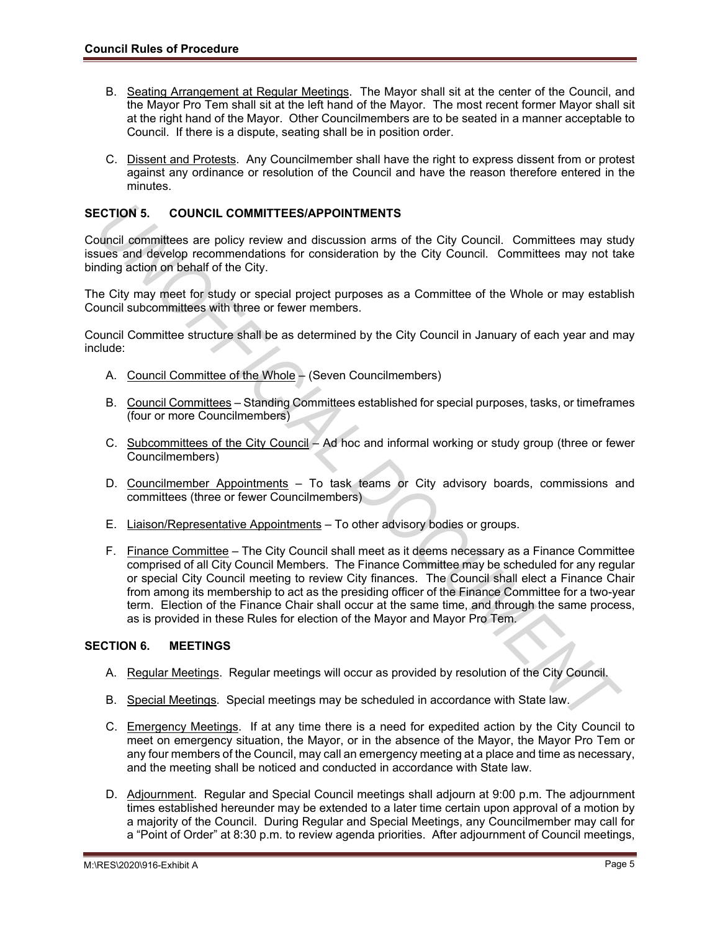- B. Seating Arrangement at Regular Meetings. The Mayor shall sit at the center of the Council, and the Mayor Pro Tem shall sit at the left hand of the Mayor. The most recent former Mayor shall sit at the right hand of the Mayor. Other Councilmembers are to be seated in a manner acceptable to Council. If there is a dispute, seating shall be in position order.
- C. Dissent and Protests. Any Councilmember shall have the right to express dissent from or protest against any ordinance or resolution of the Council and have the reason therefore entered in the minutes.

# **SECTION 5. COUNCIL COMMITTEES/APPOINTMENTS**

Council committees are policy review and discussion arms of the City Council. Committees may study issues and develop recommendations for consideration by the City Council. Committees may not take binding action on behalf of the City.

The City may meet for study or special project purposes as a Committee of the Whole or may establish Council subcommittees with three or fewer members.

Council Committee structure shall be as determined by the City Council in January of each year and may include:

- A. Council Committee of the Whole (Seven Councilmembers)
- B. Council Committees Standing Committees established for special purposes, tasks, or timeframes (four or more Councilmembers)
- C. Subcommittees of the City Council Ad hoc and informal working or study group (three or fewer Councilmembers)
- D. Councilmember Appointments To task teams or City advisory boards, commissions and committees (three or fewer Councilmembers)
- E. Liaison/Representative Appointments To other advisory bodies or groups.
- F. Finance Committee The City Council shall meet as it deems necessary as a Finance Committee comprised of all City Council Members. The Finance Committee may be scheduled for any regular or special City Council meeting to review City finances. The Council shall elect a Finance Chair from among its membership to act as the presiding officer of the Finance Committee for a two-year term. Election of the Finance Chair shall occur at the same time, and through the same process, as is provided in these Rules for election of the Mayor and Mayor Pro Tem. **ECTION 5. COUNCIL COMMITTEES/APPOINTMENTS**<br> **UNITEES ARE POLICY CONTIFICES APPOINTMENTS**<br>
UNITE CONTIFICIAL DOMINITENTS for consideration by the City Council. Committees may not take<br>
Uniting action or behialt of the City

# **SECTION 6. MEETINGS**

- A. Regular Meetings. Regular meetings will occur as provided by resolution of the City Council.
- B. Special Meetings. Special meetings may be scheduled in accordance with State law.
- C. Emergency Meetings. If at any time there is a need for expedited action by the City Council to meet on emergency situation, the Mayor, or in the absence of the Mayor, the Mayor Pro Tem or any four members of the Council, may call an emergency meeting at a place and time as necessary, and the meeting shall be noticed and conducted in accordance with State law.
- D. Adjournment. Regular and Special Council meetings shall adjourn at 9:00 p.m. The adjournment times established hereunder may be extended to a later time certain upon approval of a motion by a majority of the Council. During Regular and Special Meetings, any Councilmember may call for a "Point of Order" at 8:30 p.m. to review agenda priorities. After adjournment of Council meetings,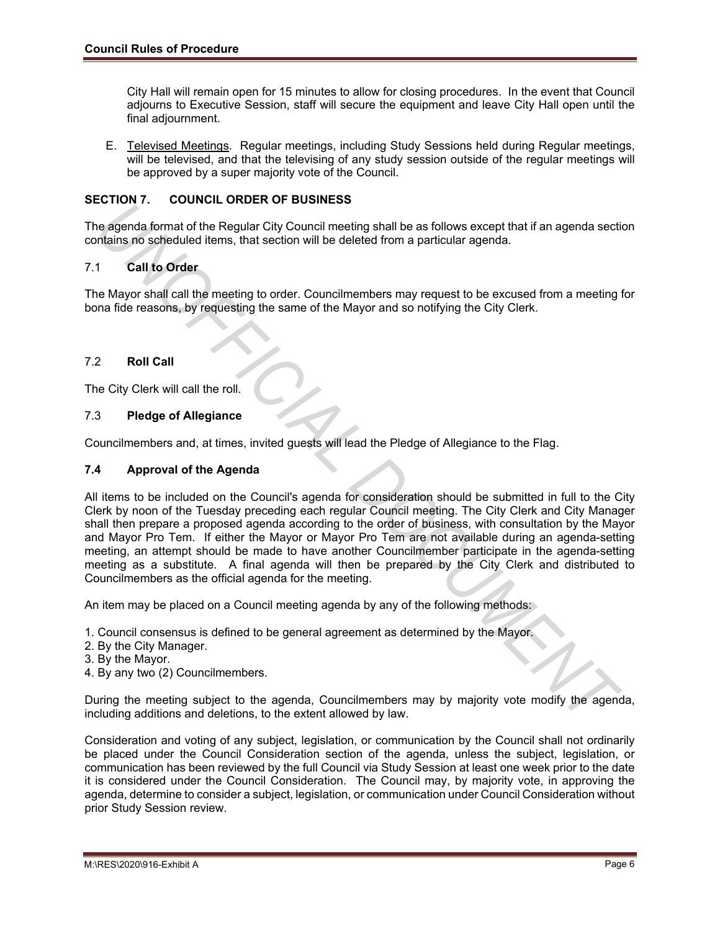City Hall will remain open for 15 minutes to allow for closing procedures. In the event that Council adjourns to Executive Session, staff will secure the equipment and leave City Hall open until the final adjournment.

E. Televised Meetings. Regular meetings, including Study Sessions held during Regular meetings, will be televised, and that the televising of any study session outside of the regular meetings will be approved by a super majority vote of the Council.

# **SECTION 7. COUNCIL ORDER OF BUSINESS**

The agenda format of the Regular City Council meeting shall be as follows except that if an agenda section contains no scheduled items, that section will be deleted from a particular agenda.

# 7.1 **Call to Order**

The Mayor shall call the meeting to order. Councilmembers may request to be excused from a meeting for bona fide reasons, by requesting the same of the Mayor and so notifying the City Clerk.

### 7.2 **Roll Call**

The City Clerk will call the roll.

### 7.3 **Pledge of Allegiance**

Councilmembers and, at times, invited guests will lead the Pledge of Allegiance to the Flag.

#### **7.4 Approval of the Agenda**

All items to be included on the Council's agenda for consideration should be submitted in full to the City Clerk by noon of the Tuesday preceding each regular Council meeting. The City Clerk and City Manager shall then prepare a proposed agenda according to the order of business, with consultation by the Mayor and Mayor Pro Tem. If either the Mayor or Mayor Pro Tem are not available during an agenda-setting meeting, an attempt should be made to have another Councilmember participate in the agenda-setting meeting as a substitute. A final agenda will then be prepared by the City Clerk and distributed to Councilmembers as the official agenda for the meeting. **Example 10**<br> **UNION CONSECT CONSECT CONSECT CONSECT AS CONSECT TO EXECT THE CONSECT CONSECT CONSECT TO EXECT THE REGULAT OF THE MAY CONSECT THE MAY OF THE MAY OF THE MAY OF THE MAY OF THE MAY OF THE MAY OF THE MAY OF THE** 

An item may be placed on a Council meeting agenda by any of the following methods:

- 1. Council consensus is defined to be general agreement as determined by the Mayor.
- 2. By the City Manager.
- 3. By the Mayor.
- 4. By any two (2) Councilmembers.

During the meeting subject to the agenda, Councilmembers may by majority vote modify the agenda, including additions and deletions, to the extent allowed by law.

Consideration and voting of any subject, legislation, or communication by the Council shall not ordinarily be placed under the Council Consideration section of the agenda, unless the subject, legislation, or communication has been reviewed by the full Council via Study Session at least one week prior to the date it is considered under the Council Consideration. The Council may, by majority vote, in approving the agenda, determine to consider a subject, legislation, or communication under Council Consideration without prior Study Session review.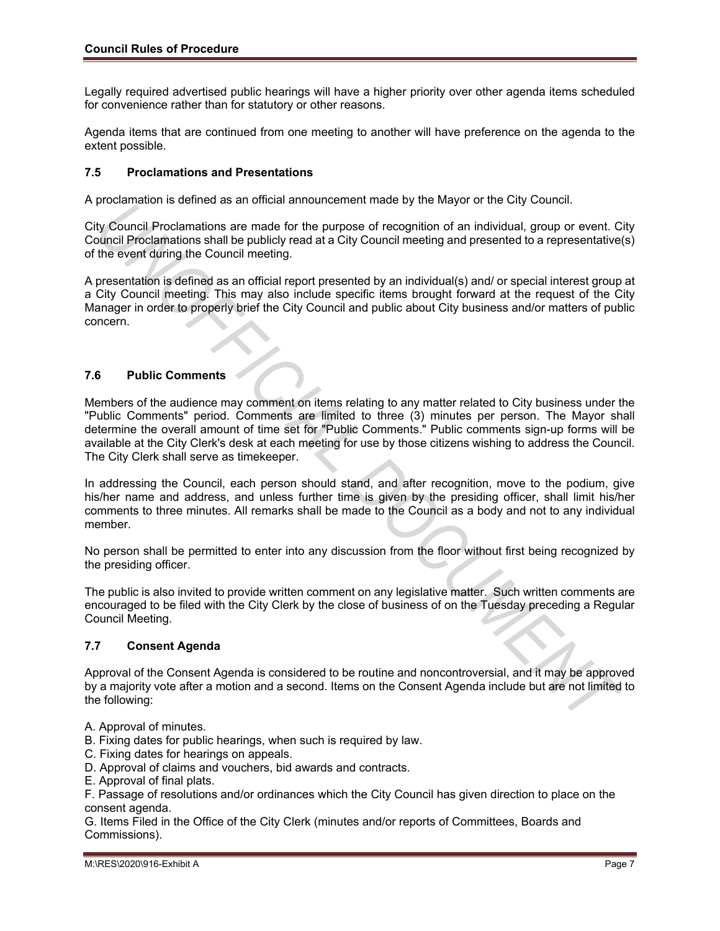Legally required advertised public hearings will have a higher priority over other agenda items scheduled for convenience rather than for statutory or other reasons.

Agenda items that are continued from one meeting to another will have preference on the agenda to the extent possible.

### **7.5 Proclamations and Presentations**

A proclamation is defined as an official announcement made by the Mayor or the City Council.

City Council Proclamations are made for the purpose of recognition of an individual, group or event. City Council Proclamations shall be publicly read at a City Council meeting and presented to a representative(s) of the event during the Council meeting.

A presentation is defined as an official report presented by an individual(s) and/ or special interest group at a City Council meeting. This may also include specific items brought forward at the request of the City Manager in order to properly brief the City Council and public about City business and/or matters of public concern.

# **7.6 Public Comments**

Members of the audience may comment on items relating to any matter related to City business under the "Public Comments" period. Comments are limited to three (3) minutes per person. The Mayor shall determine the overall amount of time set for "Public Comments." Public comments sign-up forms will be available at the City Clerk's desk at each meeting for use by those citizens wishing to address the Council. The City Clerk shall serve as timekeeper. pluxianiality is termined as an iominal annualitation and the form of the coupling of the purpose of recognition of an individual, group or event. Cyclocated during the Council Proclamations shall be publicly read at a CIt

In addressing the Council, each person should stand, and after recognition, move to the podium, give his/her name and address, and unless further time is given by the presiding officer, shall limit his/her comments to three minutes. All remarks shall be made to the Council as a body and not to any individual member.

No person shall be permitted to enter into any discussion from the floor without first being recognized by the presiding officer.

The public is also invited to provide written comment on any legislative matter. Such written comments are encouraged to be filed with the City Clerk by the close of business of on the Tuesday preceding a Regular Council Meeting.

#### **7.7 Consent Agenda**

Approval of the Consent Agenda is considered to be routine and noncontroversial, and it may be approved by a majority vote after a motion and a second. Items on the Consent Agenda include but are not limited to the following:

- A. Approval of minutes.
- B. Fixing dates for public hearings, when such is required by law.
- C. Fixing dates for hearings on appeals.
- D. Approval of claims and vouchers, bid awards and contracts.
- E. Approval of final plats.

F. Passage of resolutions and/or ordinances which the City Council has given direction to place on the consent agenda.

G. Items Filed in the Office of the City Clerk (minutes and/or reports of Committees, Boards and Commissions).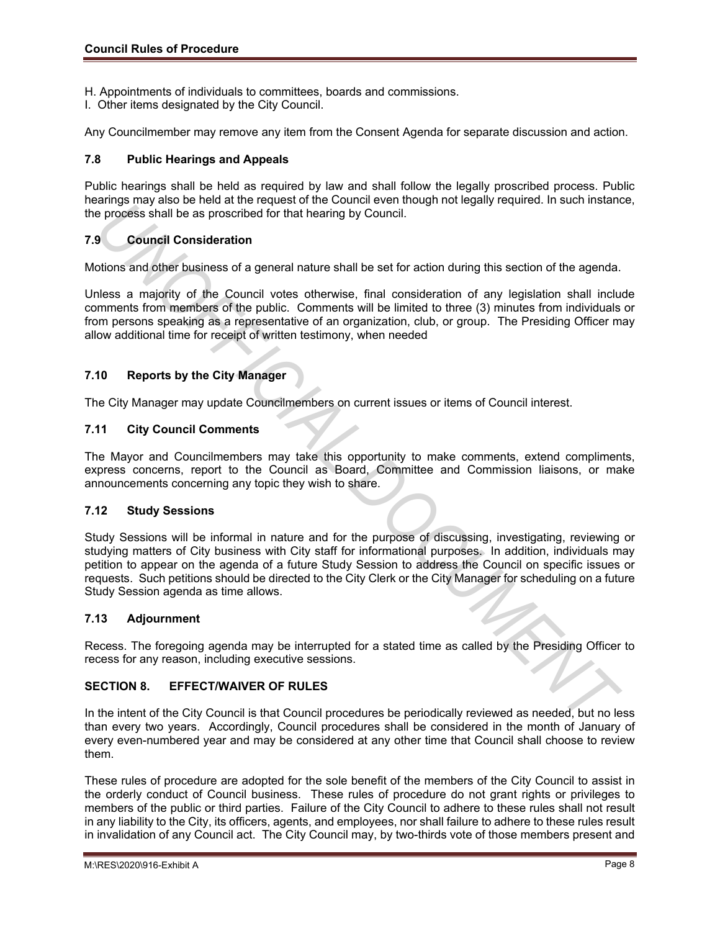- H. Appointments of individuals to committees, boards and commissions.
- I. Other items designated by the City Council.

Any Councilmember may remove any item from the Consent Agenda for separate discussion and action.

### **7.8 Public Hearings and Appeals**

Public hearings shall be held as required by law and shall follow the legally proscribed process. Public hearings may also be held at the request of the Council even though not legally required. In such instance, the process shall be as proscribed for that hearing by Council.

# **7.9 Council Consideration**

Motions and other business of a general nature shall be set for action during this section of the agenda.

Unless a majority of the Council votes otherwise, final consideration of any legislation shall include comments from members of the public. Comments will be limited to three (3) minutes from individuals or from persons speaking as a representative of an organization, club, or group. The Presiding Officer may allow additional time for receipt of written testimony, when needed

# **7.10 Reports by the City Manager**

The City Manager may update Councilmembers on current issues or items of Council interest.

#### **7.11 City Council Comments**

The Mayor and Councilmembers may take this opportunity to make comments, extend compliments, express concerns, report to the Council as Board, Committee and Commission liaisons, or make announcements concerning any topic they wish to share.

#### **7.12 Study Sessions**

Study Sessions will be informal in nature and for the purpose of discussing, investigating, reviewing or studying matters of City business with City staff for informational purposes. In addition, individuals may petition to appear on the agenda of a future Study Session to address the Council on specific issues or requests. Such petitions should be directed to the City Clerk or the City Manager for scheduling on a future Study Session agenda as time allows. annings may be able to the actual content of the purchase of the content of the content of the capital consistent in the content of the content of the content of the content of the content of the spendid consideration<br> **Pr** 

#### **7.13 Adjournment**

Recess. The foregoing agenda may be interrupted for a stated time as called by the Presiding Officer to recess for any reason, including executive sessions.

# **SECTION 8. EFFECT/WAIVER OF RULES**

In the intent of the City Council is that Council procedures be periodically reviewed as needed, but no less than every two years. Accordingly, Council procedures shall be considered in the month of January of every even-numbered year and may be considered at any other time that Council shall choose to review them.

These rules of procedure are adopted for the sole benefit of the members of the City Council to assist in the orderly conduct of Council business. These rules of procedure do not grant rights or privileges to members of the public or third parties. Failure of the City Council to adhere to these rules shall not result in any liability to the City, its officers, agents, and employees, nor shall failure to adhere to these rules result in invalidation of any Council act. The City Council may, by two-thirds vote of those members present and